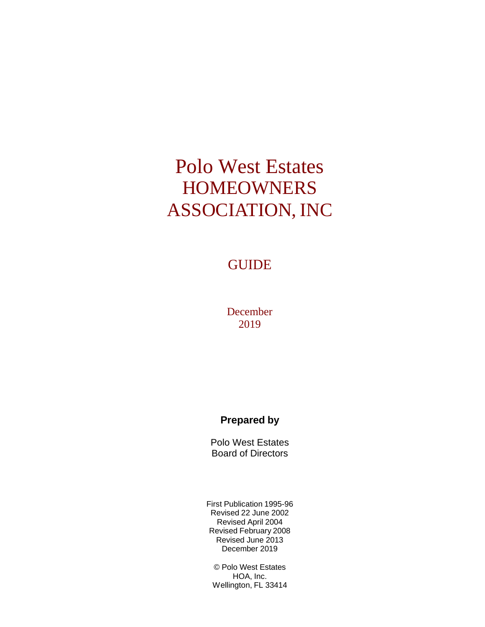# Polo West Estates **HOMEOWNERS** ASSOCIATION, INC

#### **GUIDE**

December 2019

#### **Prepared by**

Polo West Estates Board of Directors

First Publication 1995-96 Revised 22 June 2002 Revised April 2004 Revised February 2008 Revised June 2013 December 2019

© Polo West Estates HOA, Inc. Wellington, FL 33414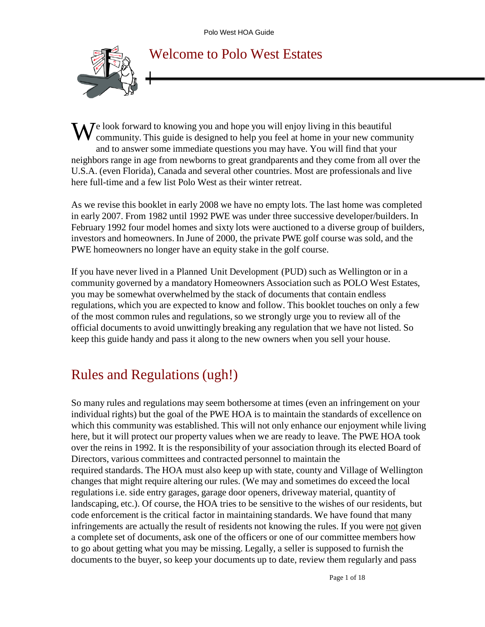

#### Welcome to Polo West Estates

We look forward to knowing you and hope you will enjoy living in this beautiful community. This guide is designed to help you feel at home in your new comm community. This guide is designed to help you feel at home in your new community and to answer some immediate questions you may have. You will find that your neighbors range in age from newborns to great grandparents and they come from all over the U.S.A. (even Florida), Canada and several other countries. Most are professionals and live here full-time and a few list Polo West as their winter retreat.

As we revise this booklet in early 2008 we have no empty lots. The last home was completed in early 2007. From 1982 until 1992 PWE was under three successive developer/builders. In February 1992 four model homes and sixty lots were auctioned to a diverse group of builders, investors and homeowners. In June of 2000, the private PWE golf course was sold, and the PWE homeowners no longer have an equity stake in the golf course.

If you have never lived in a Planned Unit Development (PUD) such as Wellington or in a community governed by a mandatory Homeowners Association such as POLO West Estates, you may be somewhat overwhelmed by the stack of documents that contain endless regulations, which you are expected to know and follow. This booklet touches on only a few of the most common rules and regulations, so we strongly urge you to review all of the official documents to avoid unwittingly breaking any regulation that we have not listed. So keep this guide handy and pass it along to the new owners when you sell your house.

#### Rules and Regulations (ugh!)

So many rules and regulations may seem bothersome at times (even an infringement on your individual rights) but the goal of the PWE HOA is to maintain the standards of excellence on which this community was established. This will not only enhance our enjoyment while living here, but it will protect our property values when we are ready to leave. The PWE HOA took over the reins in 1992. It is the responsibility of your association through its elected Board of Directors, various committees and contracted personnel to maintain the required standards. The HOA must also keep up with state, county and Village of Wellington changes that might require altering our rules. (We may and sometimes do exceed the local regulations i.e. side entry garages, garage door openers, driveway material, quantity of landscaping, etc.). Of course, the HOA tries to be sensitive to the wishes of our residents, but code enforcement is the critical factor in maintaining standards. We have found that many infringements are actually the result of residents not knowing the rules. If you were not given a complete set of documents, ask one of the officers or one of our committee members how to go about getting what you may be missing. Legally, a seller is supposed to furnish the documents to the buyer, so keep your documents up to date, review them regularly and pass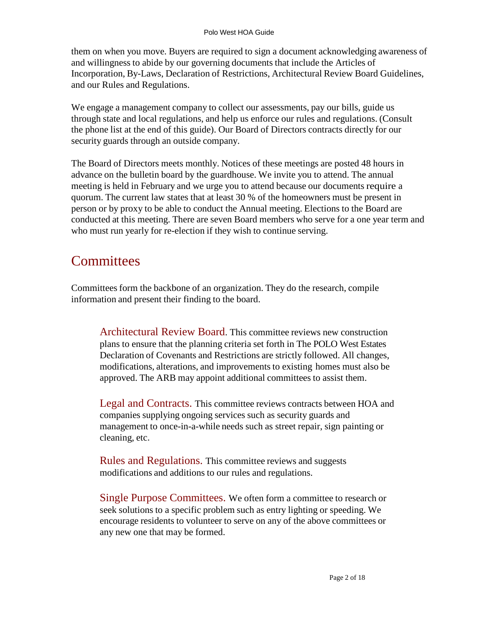them on when you move. Buyers are required to sign a document acknowledging awareness of and willingness to abide by our governing documents that include the Articles of Incorporation, By-Laws, Declaration of Restrictions, Architectural Review Board Guidelines, and our Rules and Regulations.

We engage a management company to collect our assessments, pay our bills, guide us through state and local regulations, and help us enforce our rules and regulations. (Consult the phone list at the end of this guide). Our Board of Directors contracts directly for our security guards through an outside company.

The Board of Directors meets monthly. Notices of these meetings are posted 48 hours in advance on the bulletin board by the guardhouse. We invite you to attend. The annual meeting is held in February and we urge you to attend because our documents require a quorum. The current law states that at least 30 % of the homeowners must be present in person or by proxy to be able to conduct the Annual meeting. Elections to the Board are conducted at this meeting. There are seven Board members who serve for a one year term and who must run yearly for re-election if they wish to continue serving.

#### **Committees**

Committees form the backbone of an organization. They do the research, compile information and present their finding to the board.

Architectural Review Board. This committee reviews new construction plans to ensure that the planning criteria set forth in The POLO West Estates Declaration of Covenants and Restrictions are strictly followed. All changes, modifications, alterations, and improvements to existing homes must also be approved. The ARB may appoint additional committees to assist them.

Legal and Contracts. This committee reviews contracts between HOA and companies supplying ongoing services such as security guards and management to once-in-a-while needs such as street repair, sign painting or cleaning, etc.

Rules and Regulations. This committee reviews and suggests modifications and additions to our rules and regulations.

Single Purpose Committees. We often form a committee to research or seek solutions to a specific problem such as entry lighting or speeding. We encourage residents to volunteer to serve on any of the above committees or any new one that may be formed.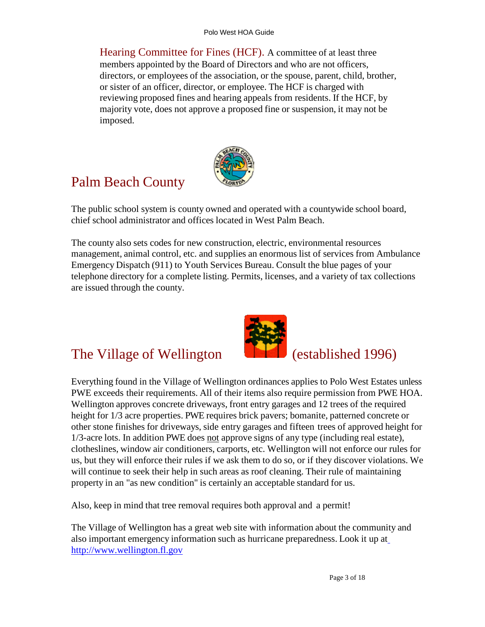Hearing Committee for Fines (HCF). A committee of at least three members appointed by the Board of Directors and who are not officers, directors, or employees of the association, or the spouse, parent, child, brother, or sister of an officer, director, or employee. The HCF is charged with reviewing proposed fines and hearing appeals from residents. If the HCF, by majority vote, does not approve a proposed fine or suspension, it may not be imposed.



#### Palm Beach County

The public school system is county owned and operated with a countywide school board, chief school administrator and offices located in West Palm Beach.

The county also sets codes for new construction, electric, environmental resources management, animal control, etc. and supplies an enormous list of services from Ambulance Emergency Dispatch (911) to Youth Services Bureau. Consult the blue pages of your telephone directory for a complete listing. Permits, licenses, and a variety of tax collections are issued through the county.

#### The Village of Wellington (established 1996)



Everything found in the Village of Wellington ordinances applies to Polo West Estates unless PWE exceeds their requirements. All of their items also require permission from PWE HOA. Wellington approves concrete driveways, front entry garages and 12 trees of the required height for 1/3 acre properties. PWE requires brick pavers; bomanite, patterned concrete or other stone finishes for driveways, side entry garages and fifteen trees of approved height for 1/3-acre lots. In addition PWE does not approve signs of any type (including real estate), clotheslines, window air conditioners, carports, etc. Wellington will not enforce our rules for us, but they will enforce their rules if we ask them to do so, or if they discover violations. We will continue to seek their help in such areas as roof cleaning. Their rule of maintaining property in an "as new condition" is certainly an acceptable standard for us.

Also, keep in mind that tree removal requires both approval and a permit!

The Village of Wellington has a great web site with information about the community and also important emergency information such as hurricane preparedness. Look it up a[t](http://www.wellington.fl.gov/) [http://www.wellington.fl.gov](http://www.wellington.fl.gov/)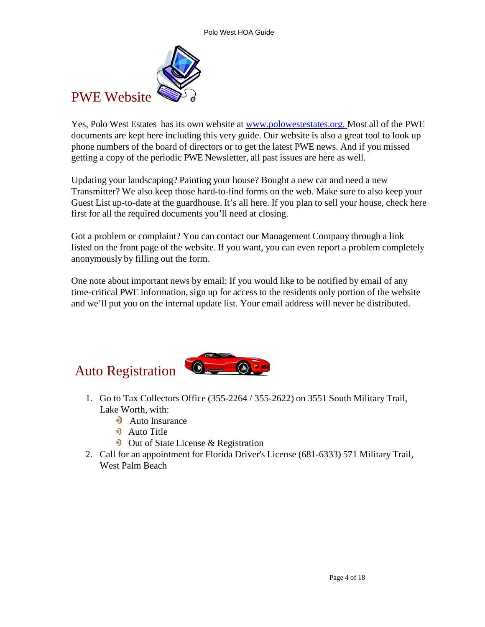

Yes, Polo West Estates has its own website at www.polowestestates.org. Most all of the PWE documents are kept here including this very guide. Our website is also a great tool to look up phone numbers of the board of directors or to get the latest PWE news. And if you missed getting a copy of the periodic PWE Newsletter, all past issues are here as well.

Updating your landscaping? Painting your house? Bought a new car and need a new Transmitter? We also keep those hard-to-find forms on the web. Make sure to also keep your Guest List up-to-date at the guardhouse. It's all here. If you plan to sell your house, check here first for all the required documents you'll need at closing.

Got a problem or complaint? You can contact our Management Company through a link listed on the front page of the website. If you want, you can even report a problem completely anonymously by filling out the form.

One note about important news by email: If you would like to be notified by email of any time-critical PWE information, sign up for access to the residents only portion of the website and we'll put you on the internal update list. Your email address will never be distributed.

# Auto Registration



- 1. Go to Tax Collectors Office (355-2264 / 355-2622) on 3551 South Military Trail, Lake Worth, with:
	- **Auto Insurance**
	- **Auto Title**
	- $\bullet$  Out of State License & Registration
- 2. Call for an appointment for Florida Driver's License (681-6333) 571 Military Trail, West Palm Beach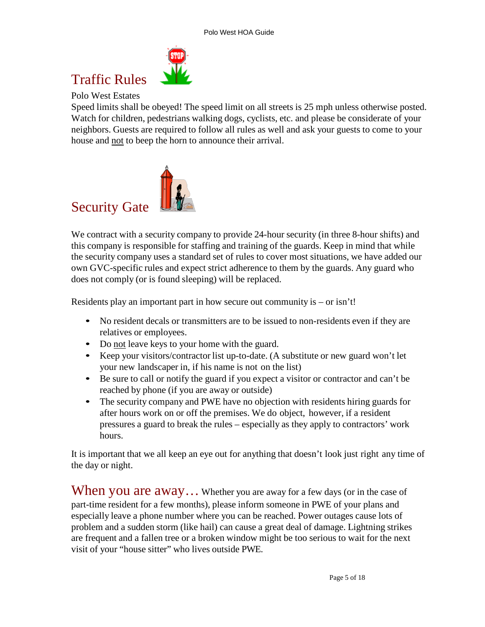# Traffic Rules

Polo West Estates

Speed limits shall be obeyed! The speed limit on all streets is 25 mph unless otherwise posted. Watch for children, pedestrians walking dogs, cyclists, etc. and please be considerate of your neighbors. Guests are required to follow all rules as well and ask your guests to come to your house and not to beep the horn to announce their arrival.



We contract with a security company to provide 24-hour security (in three 8-hour shifts) and this company is responsible for staffing and training of the guards. Keep in mind that while the security company uses a standard set of rules to cover most situations, we have added our own GVC-specific rules and expect strict adherence to them by the guards. Any guard who does not comply (or is found sleeping) will be replaced.

Residents play an important part in how secure out community is – or isn't!

- No resident decals or transmitters are to be issued to non-residents even if they are relatives or employees.
- Do not leave keys to your home with the guard.
- Keep your visitors/contractor list up-to-date. (A substitute or new guard won't let your new landscaper in, if his name is not on the list)
- Be sure to call or notify the guard if you expect a visitor or contractor and can't be reached by phone (if you are away or outside)
- The security company and PWE have no objection with residents hiring guards for after hours work on or off the premises. We do object, however, if a resident pressures a guard to break the rules – especially as they apply to contractors' work hours.

It is important that we all keep an eye out for anything that doesn't look just right any time of the day or night.

When you are  $a$ way... Whether you are away for a few days (or in the case of part-time resident for a few months), please inform someone in PWE of your plans and especially leave a phone number where you can be reached. Power outages cause lots of problem and a sudden storm (like hail) can cause a great deal of damage. Lightning strikes are frequent and a fallen tree or a broken window might be too serious to wait for the next visit of your "house sitter" who lives outside PWE.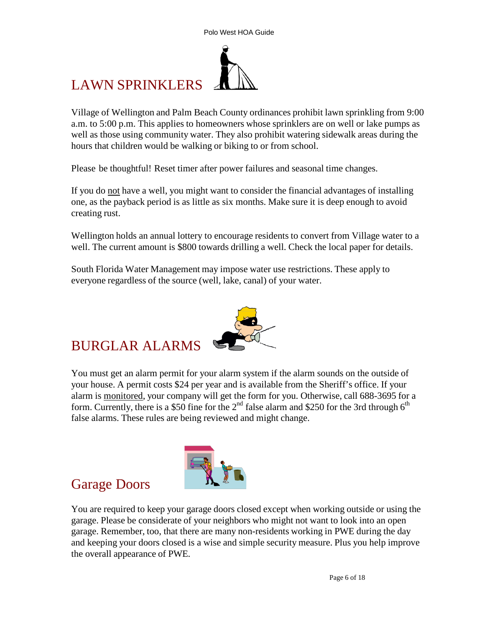# LAWN SPRINKLERS

Village of Wellington and Palm Beach County ordinances prohibit lawn sprinkling from 9:00 a.m. to 5:00 p.m. This applies to homeowners whose sprinklers are on well or lake pumps as well as those using community water. They also prohibit watering sidewalk areas during the hours that children would be walking or biking to or from school.

Please be thoughtful! Reset timer after power failures and seasonal time changes.

If you do not have a well, you might want to consider the financial advantages of installing one, as the payback period is as little as six months. Make sure it is deep enough to avoid creating rust.

Wellington holds an annual lottery to encourage residents to convert from Village water to a well. The current amount is \$800 towards drilling a well. Check the local paper for details.

South Florida Water Management may impose water use restrictions. These apply to everyone regardless of the source (well, lake, canal) of your water.

#### BURGLAR ALARMS

You must get an alarm permit for your alarm system if the alarm sounds on the outside of your house. A permit costs \$24 per year and is available from the Sheriff's office. If your alarm is monitored, your company will get the form for you. Otherwise, call 688-3695 for a form. Currently, there is a \$50 fine for the 2<sup>nd</sup> false alarm and \$250 for the 3rd through  $6<sup>th</sup>$ false alarms. These rules are being reviewed and might change.

#### Garage Doors

You are required to keep your garage doors closed except when working outside or using the garage. Please be considerate of your neighbors who might not want to look into an open garage. Remember, too, that there are many non-residents working in PWE during the day and keeping your doors closed is a wise and simple security measure. Plus you help improve the overall appearance of PWE.



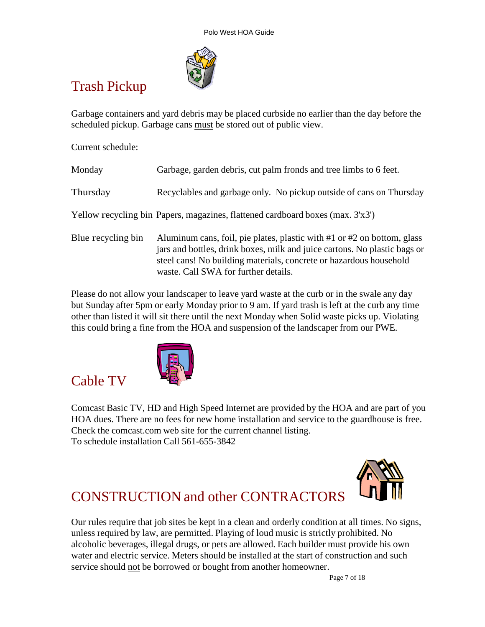

## Trash Pickup

Garbage containers and yard debris may be placed curbside no earlier than the day before the scheduled pickup. Garbage cans must be stored out of public view.

Current schedule:

Cable TV

| Monday             | Garbage, garden debris, cut palm fronds and tree limbs to 6 feet.                                                                                                                                                                                                      |
|--------------------|------------------------------------------------------------------------------------------------------------------------------------------------------------------------------------------------------------------------------------------------------------------------|
| Thursday           | Recyclables and garbage only. No pickup outside of cans on Thursday                                                                                                                                                                                                    |
|                    | Yellow recycling bin Papers, magazines, flattened cardboard boxes (max. 3'x3')                                                                                                                                                                                         |
| Blue recycling bin | Aluminum cans, foil, pie plates, plastic with $#1$ or $#2$ on bottom, glass<br>jars and bottles, drink boxes, milk and juice cartons. No plastic bags or<br>steel cans! No building materials, concrete or hazardous household<br>waste. Call SWA for further details. |

Please do not allow your landscaper to leave yard waste at the curb or in the swale any day but Sunday after 5pm or early Monday prior to 9 am. If yard trash is left at the curb any time other than listed it will sit there until the next Monday when Solid waste picks up. Violating this could bring a fine from the HOA and suspension of the landscaper from our PWE.



Comcast Basic TV, HD and High Speed Internet are provided by the HOA and are part of you HOA dues. There are no fees for new home installation and service to the guardhouse is free. Check the comcast.com web site for the current channel listing. To schedule installation Call 561-655-3842



## CONSTRUCTION and other CONTRACTORS

Our rules require that job sites be kept in a clean and orderly condition at all times. No signs, unless required by law, are permitted. Playing of loud music is strictly prohibited. No alcoholic beverages, illegal drugs, or pets are allowed. Each builder must provide his own water and electric service. Meters should be installed at the start of construction and such service should not be borrowed or bought from another homeowner.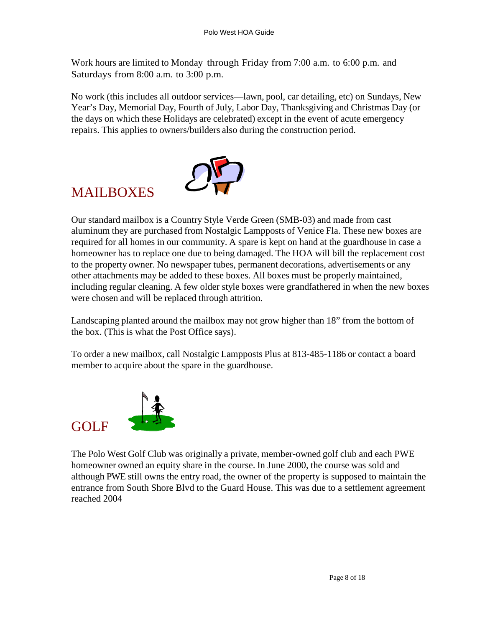Work hours are limited to Monday through Friday from 7:00 a.m. to 6:00 p.m. and Saturdays from 8:00 a.m. to 3:00 p.m.

No work (this includes all outdoor services—lawn, pool, car detailing, etc) on Sundays, New Year's Day, Memorial Day, Fourth of July, Labor Day, Thanksgiving and Christmas Day (or the days on which these Holidays are celebrated) except in the event of acute emergency repairs. This applies to owners/builders also during the construction period.



### MAILBOXES

Our standard mailbox is a Country Style Verde Green (SMB-03) and made from cast aluminum they are purchased from Nostalgic Lampposts of Venice Fla. These new boxes are required for all homes in our community. A spare is kept on hand at the guardhouse in case a homeowner has to replace one due to being damaged. The HOA will bill the replacement cost to the property owner. No newspaper tubes, permanent decorations, advertisements or any other attachments may be added to these boxes. All boxes must be properly maintained, including regular cleaning. A few older style boxes were grandfathered in when the new boxes were chosen and will be replaced through attrition.

Landscaping planted around the mailbox may not grow higher than 18" from the bottom of the box. (This is what the Post Office says).

To order a new mailbox, call Nostalgic Lampposts Plus at 813-485-1186 or contact a board member to acquire about the spare in the guardhouse.



The Polo West Golf Club was originally a private, member-owned golf club and each PWE homeowner owned an equity share in the course. In June 2000, the course was sold and although PWE still owns the entry road, the owner of the property is supposed to maintain the entrance from South Shore Blvd to the Guard House. This was due to a settlement agreement reached 2004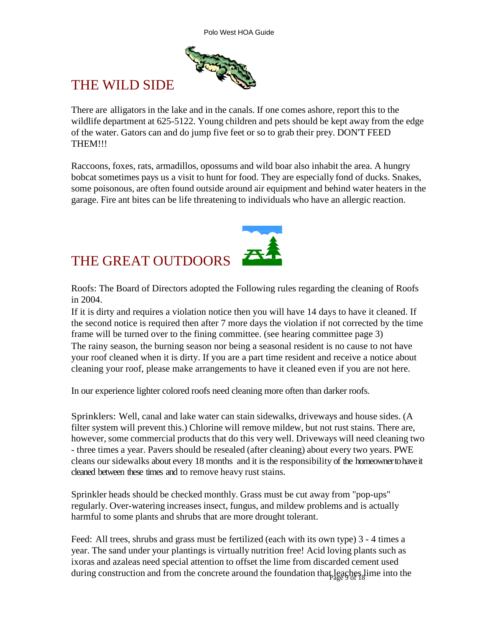

#### THE WILD SIDE

There are alligators in the lake and in the canals. If one comes ashore, report this to the wildlife department at 625-5122. Young children and pets should be kept away from the edge of the water. Gators can and do jump five feet or so to grab their prey. DON'T FEED THEM!!!

Raccoons, foxes, rats, armadillos, opossums and wild boar also inhabit the area. A hungry bobcat sometimes pays us a visit to hunt for food. They are especially fond of ducks. Snakes, some poisonous, are often found outside around air equipment and behind water heaters in the garage. Fire ant bites can be life threatening to individuals who have an allergic reaction.



Roofs: The Board of Directors adopted the Following rules regarding the cleaning of Roofs in 2004.

If it is dirty and requires a violation notice then you will have 14 days to have it cleaned. If the second notice is required then after 7 more days the violation if not corrected by the time frame will be turned over to the fining committee. (see hearing committee page 3) The rainy season, the burning season nor being a seasonal resident is no cause to not have your roof cleaned when it is dirty. If you are a part time resident and receive a notice about cleaning your roof, please make arrangements to have it cleaned even if you are not here.

In our experience lighter colored roofs need cleaning more often than darker roofs.

Sprinklers: Well, canal and lake water can stain sidewalks, driveways and house sides. (A filter system will prevent this.) Chlorine will remove mildew, but not rust stains. There are, however, some commercial products that do this very well. Driveways will need cleaning two - three times a year. Pavers should be resealed (after cleaning) about every two years. PWE cleans our sidewalks about every 18 months and it is the responsibility of the homeowner to have it cleaned between these times and to remove heavy rust stains.

Sprinkler heads should be checked monthly. Grass must be cut away from "pop-ups" regularly. Over-watering increases insect, fungus, and mildew problems and is actually harmful to some plants and shrubs that are more drought tolerant.

during construction and from the concrete around the foundation that leaches lime into the Feed: All trees, shrubs and grass must be fertilized (each with its own type) 3 - 4 times a year. The sand under your plantings is virtually nutrition free! Acid loving plants such as ixoras and azaleas need special attention to offset the lime from discarded cement used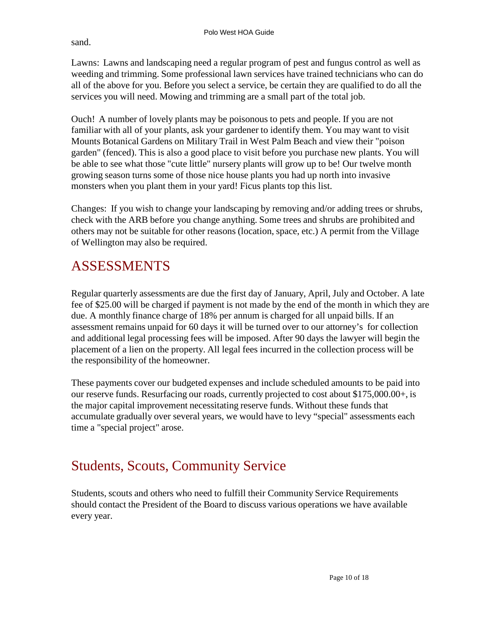sand.

Lawns: Lawns and landscaping need a regular program of pest and fungus control as well as weeding and trimming. Some professional lawn services have trained technicians who can do all of the above for you. Before you select a service, be certain they are qualified to do all the services you will need. Mowing and trimming are a small part of the total job.

Ouch! A number of lovely plants may be poisonous to pets and people. If you are not familiar with all of your plants, ask your gardener to identify them. You may want to visit Mounts Botanical Gardens on Military Trail in West Palm Beach and view their "poison garden" (fenced). This is also a good place to visit before you purchase new plants. You will be able to see what those "cute little" nursery plants will grow up to be! Our twelve month growing season turns some of those nice house plants you had up north into invasive monsters when you plant them in your yard! Ficus plants top this list.

Changes: If you wish to change your landscaping by removing and/or adding trees or shrubs, check with the ARB before you change anything. Some trees and shrubs are prohibited and others may not be suitable for other reasons (location, space, etc.) A permit from the Village of Wellington may also be required.

### ASSESSMENTS

Regular quarterly assessments are due the first day of January, April, July and October. A late fee of \$25.00 will be charged if payment is not made by the end of the month in which they are due. A monthly finance charge of 18% per annum is charged for all unpaid bills. If an assessment remains unpaid for 60 days it will be turned over to our attorney's for collection and additional legal processing fees will be imposed. After 90 days the lawyer will begin the placement of a lien on the property. All legal fees incurred in the collection process will be the responsibility of the homeowner.

These payments cover our budgeted expenses and include scheduled amounts to be paid into our reserve funds. Resurfacing our roads, currently projected to cost about \$175,000.00+, is the major capital improvement necessitating reserve funds. Without these funds that accumulate gradually over several years, we would have to levy "special" assessments each time a "special project" arose.

#### Students, Scouts, Community Service

Students, scouts and others who need to fulfill their Community Service Requirements should contact the President of the Board to discuss various operations we have available every year.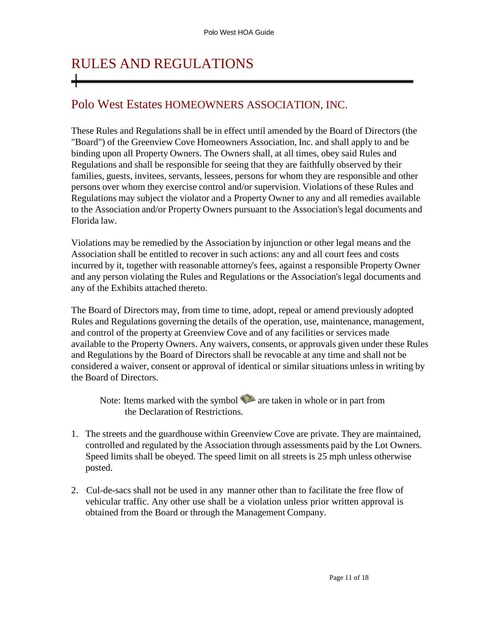# RULES AND REGULATIONS

#### Polo West Estates HOMEOWNERS ASSOCIATION, INC.

These Rules and Regulations shall be in effect until amended by the Board of Directors (the "Board") of the Greenview Cove Homeowners Association, Inc. and shall apply to and be binding upon all Property Owners. The Owners shall, at all times, obey said Rules and Regulations and shall be responsible for seeing that they are faithfully observed by their families, guests, invitees, servants, lessees, persons for whom they are responsible and other persons over whom they exercise control and/or supervision. Violations of these Rules and Regulations may subject the violator and a Property Owner to any and all remedies available to the Association and/or Property Owners pursuant to the Association's legal documents and Florida law.

Violations may be remedied by the Association by injunction or other legal means and the Association shall be entitled to recover in such actions: any and all court fees and costs incurred by it, together with reasonable attorney's fees, against a responsible Property Owner and any person violating the Rules and Regulations or the Association's legal documents and any of the Exhibits attached thereto.

The Board of Directors may, from time to time, adopt, repeal or amend previously adopted Rules and Regulations governing the details of the operation, use, maintenance, management, and control of the property at Greenview Cove and of any facilities or services made available to the Property Owners. Any waivers, consents, or approvals given under these Rules and Regulations by the Board of Directors shall be revocable at any time and shall not be considered a waiver, consent or approval of identical or similar situations unless in writing by the Board of Directors.

Note: Items marked with the symbol  $\blacktriangleright$  are taken in whole or in part from the Declaration of Restrictions.

- 1. The streets and the guardhouse within Greenview Cove are private. They are maintained, controlled and regulated by the Association through assessments paid by the Lot Owners. Speed limits shall be obeyed. The speed limit on all streets is 25 mph unless otherwise posted.
- 2. Cul-de-sacs shall not be used in any manner other than to facilitate the free flow of vehicular traffic. Any other use shall be a violation unless prior written approval is obtained from the Board or through the Management Company.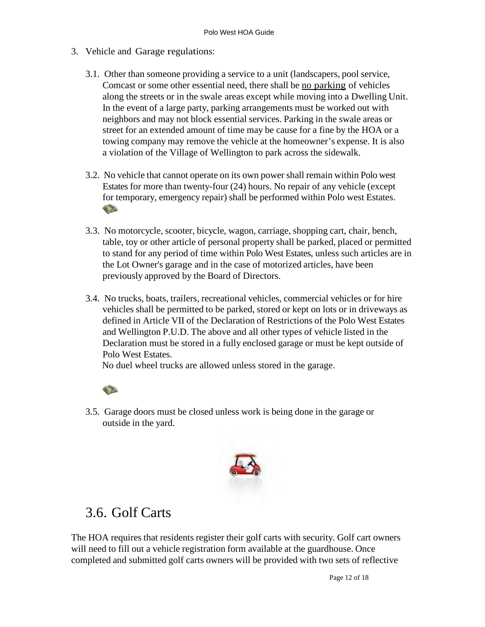- 3. Vehicle and Garage regulations:
	- 3.1. Other than someone providing a service to a unit (landscapers, pool service, Comcast or some other essential need, there shall be no parking of vehicles along the streets or in the swale areas except while moving into a Dwelling Unit. In the event of a large party, parking arrangements must be worked out with neighbors and may not block essential services. Parking in the swale areas or street for an extended amount of time may be cause for a fine by the HOA or a towing company may remove the vehicle at the homeowner's expense. It is also a violation of the Village of Wellington to park across the sidewalk.
	- 3.2. No vehicle that cannot operate on its own power shall remain within Polo west Estates for more than twenty-four (24) hours. No repair of any vehicle (except for temporary, emergency repair) shall be performed within Polo west Estates.
	- 3.3. No motorcycle, scooter, bicycle, wagon, carriage, shopping cart, chair, bench, table, toy or other article of personal property shall be parked, placed or permitted to stand for any period of time within Polo West Estates, unless such articles are in the Lot Owner's garage and in the case of motorized articles, have been previously approved by the Board of Directors.
	- 3.4. No trucks, boats, trailers, recreational vehicles, commercial vehicles or for hire vehicles shall be permitted to be parked, stored or kept on lots or in driveways as defined in Article VII of the Declaration of Restrictions of the Polo West Estates and Wellington P.U.D. The above and all other types of vehicle listed in the Declaration must be stored in a fully enclosed garage or must be kept outside of Polo West Estates.

No duel wheel trucks are allowed unless stored in the garage.



3.5. Garage doors must be closed unless work is being done in the garage or outside in the yard.



#### 3.6. Golf Carts

The HOA requires that residents register their golf carts with security. Golf cart owners will need to fill out a vehicle registration form available at the guardhouse. Once completed and submitted golf carts owners will be provided with two sets of reflective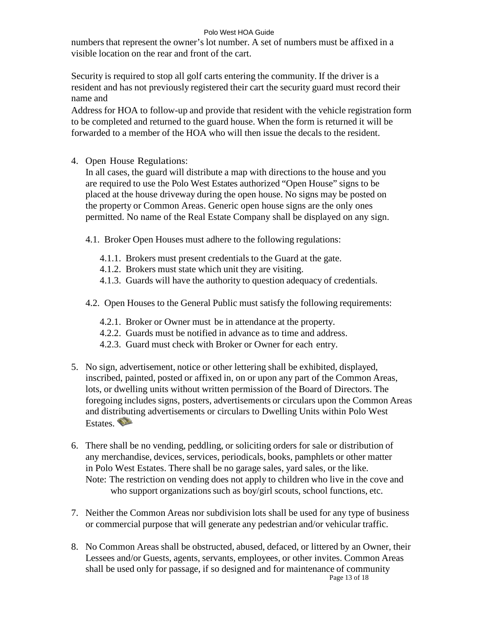#### Polo West HOA Guide

numbers that represent the owner's lot number. A set of numbers must be affixed in a visible location on the rear and front of the cart.

Security is required to stop all golf carts entering the community. If the driver is a resident and has not previously registered their cart the security guard must record their name and

Address for HOA to follow-up and provide that resident with the vehicle registration form to be completed and returned to the guard house. When the form is returned it will be forwarded to a member of the HOA who will then issue the decals to the resident.

4. Open House Regulations:

In all cases, the guard will distribute a map with directions to the house and you are required to use the Polo West Estates authorized "Open House" signs to be placed at the house driveway during the open house. No signs may be posted on the property or Common Areas. Generic open house signs are the only ones permitted. No name of the Real Estate Company shall be displayed on any sign.

- 4.1. Broker Open Houses must adhere to the following regulations:
	- 4.1.1. Brokers must present credentials to the Guard at the gate.
	- 4.1.2. Brokers must state which unit they are visiting.
	- 4.1.3. Guards will have the authority to question adequacy of credentials.
- 4.2. Open Houses to the General Public must satisfy the following requirements:
	- 4.2.1. Broker or Owner must be in attendance at the property.
	- 4.2.2. Guards must be notified in advance as to time and address.
	- 4.2.3. Guard must check with Broker or Owner for each entry.
- 5. No sign, advertisement, notice or other lettering shall be exhibited, displayed, inscribed, painted, posted or affixed in, on or upon any part of the Common Areas, lots, or dwelling units without written permission of the Board of Directors. The foregoing includes signs, posters, advertisements or circulars upon the Common Areas and distributing advertisements or circulars to Dwelling Units within Polo West Estates.
- 6. There shall be no vending, peddling, or soliciting orders for sale or distribution of any merchandise, devices, services, periodicals, books, pamphlets or other matter in Polo West Estates. There shall be no garage sales, yard sales, or the like. Note: The restriction on vending does not apply to children who live in the cove and who support organizations such as boy/girl scouts, school functions, etc.
- 7. Neither the Common Areas nor subdivision lots shall be used for any type of business or commercial purpose that will generate any pedestrian and/or vehicular traffic.
- Page 13 of 18 8. No Common Areas shall be obstructed, abused, defaced, or littered by an Owner, their Lessees and/or Guests, agents, servants, employees, or other invites. Common Areas shall be used only for passage, if so designed and for maintenance of community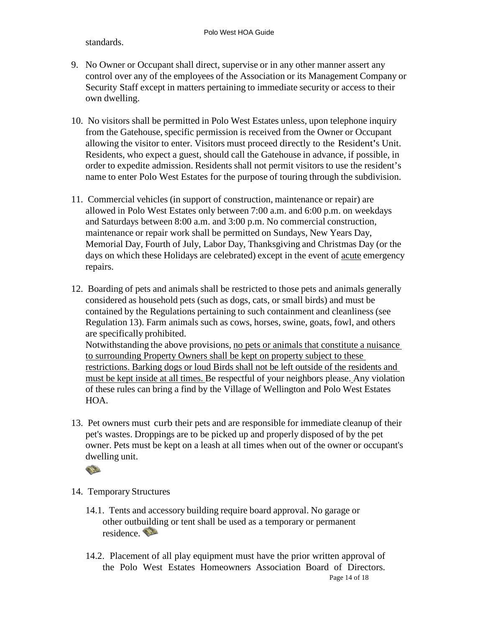standards.

- 9. No Owner or Occupant shall direct, supervise or in any other manner assert any control over any of the employees of the Association or its Management Company or Security Staff except in matters pertaining to immediate security or access to their own dwelling.
- 10. No visitors shall be permitted in Polo West Estates unless, upon telephone inquiry from the Gatehouse, specific permission is received from the Owner or Occupant allowing the visitor to enter. Visitors must proceed directly to the Resident's Unit. Residents, who expect a guest, should call the Gatehouse in advance, if possible, in order to expedite admission. Residents shall not permit visitors to use the resident's name to enter Polo West Estates for the purpose of touring through the subdivision.
- 11. Commercial vehicles (in support of construction, maintenance or repair) are allowed in Polo West Estates only between 7:00 a.m. and 6:00 p.m. on weekdays and Saturdays between 8:00 a.m. and 3:00 p.m. No commercial construction, maintenance or repair work shall be permitted on Sundays, New Years Day, Memorial Day, Fourth of July, Labor Day, Thanksgiving and Christmas Day (or the days on which these Holidays are celebrated) except in the event of acute emergency repairs.
- 12. Boarding of pets and animals shall be restricted to those pets and animals generally considered as household pets (such as dogs, cats, or small birds) and must be contained by the Regulations pertaining to such containment and cleanliness (see Regulation 13). Farm animals such as cows, horses, swine, goats, fowl, and others are specifically prohibited.

 Notwithstanding the above provisions, no pets or animals that constitute a nuisance to surrounding Property Owners shall be kept on property subject to these restrictions. Barking dogs or loud Birds shall not be left outside of the residents and must be kept inside at all times. Be respectful of your neighbors please. Any violation of these rules can bring a find by the Village of Wellington and Polo West Estates HOA.

13. Pet owners must curb their pets and are responsible for immediate cleanup of their pet's wastes. Droppings are to be picked up and properly disposed of by the pet owner. Pets must be kept on a leash at all times when out of the owner or occupant's dwelling unit.



- 14. Temporary Structures
	- 14.1. Tents and accessory building require board approval. No garage or other outbuilding or tent shall be used as a temporary or permanent residence.
	- Page 14 of 18 14.2. Placement of all play equipment must have the prior written approval of the Polo West Estates Homeowners Association Board of Directors.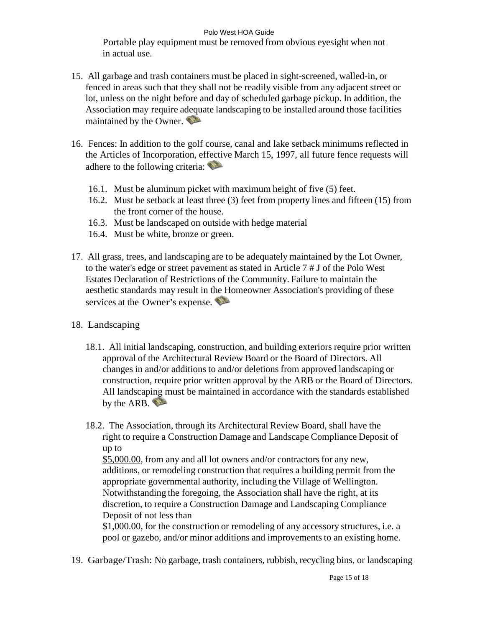#### Polo West HOA Guide

Portable play equipment must be removed from obvious eyesight when not in actual use.

- 15. All garbage and trash containers must be placed in sight-screened, walled-in, or fenced in areas such that they shall not be readily visible from any adjacent street or lot, unless on the night before and day of scheduled garbage pickup. In addition, the Association may require adequate landscaping to be installed around those facilities maintained by the Owner.
- 16. Fences: In addition to the golf course, canal and lake setback minimums reflected in the Articles of Incorporation, effective March 15, 1997, all future fence requests will adhere to the following criteria:
	- 16.1. Must be aluminum picket with maximum height of five (5) feet.
	- 16.2. Must be setback at least three (3) feet from property lines and fifteen (15) from the front corner of the house.
	- 16.3. Must be landscaped on outside with hedge material
	- 16.4. Must be white, bronze or green.
- 17. All grass, trees, and landscaping are to be adequately maintained by the Lot Owner, to the water's edge or street pavement as stated in Article 7 # J of the Polo West Estates Declaration of Restrictions of the Community. Failure to maintain the aesthetic standards may result in the Homeowner Association's providing of these services at the Owner's expense.
- 18. Landscaping
	- 18.1. All initial landscaping, construction, and building exteriors require prior written approval of the Architectural Review Board or the Board of Directors. All changes in and/or additions to and/or deletions from approved landscaping or construction, require prior written approval by the ARB or the Board of Directors. All landscaping must be maintained in accordance with the standards established by the ARB.
	- 18.2. The Association, through its Architectural Review Board, shall have the right to require a Construction Damage and Landscape Compliance Deposit of up to

\$5,000.00, from any and all lot owners and/or contractors for any new, additions, or remodeling construction that requires a building permit from the appropriate governmental authority, including the Village of Wellington. Notwithstanding the foregoing, the Association shall have the right, at its discretion, to require a Construction Damage and Landscaping Compliance Deposit of not less than

\$1,000.00, for the construction or remodeling of any accessory structures, i.e. a pool or gazebo, and/or minor additions and improvements to an existing home.

19. Garbage/Trash: No garbage, trash containers, rubbish, recycling bins, or landscaping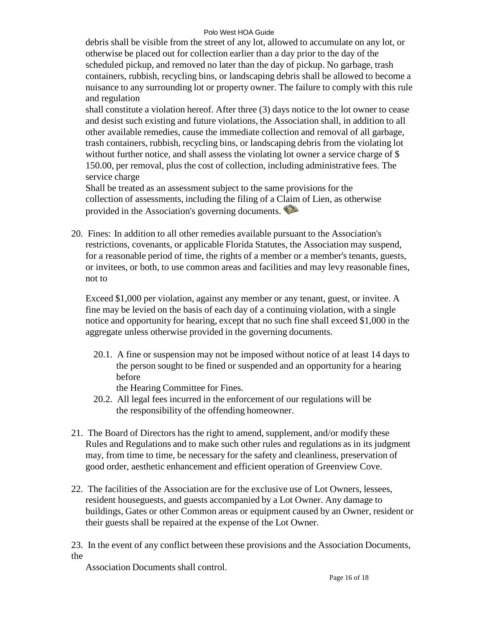#### Polo West HOA Guide

debris shall be visible from the street of any lot, allowed to accumulate on any lot, or otherwise be placed out for collection earlier than a day prior to the day of the scheduled pickup, and removed no later than the day of pickup. No garbage, trash containers, rubbish, recycling bins, or landscaping debris shall be allowed to become a nuisance to any surrounding lot or property owner. The failure to comply with this rule and regulation

shall constitute a violation hereof. After three (3) days notice to the lot owner to cease and desist such existing and future violations, the Association shall, in addition to all other available remedies, cause the immediate collection and removal of all garbage, trash containers, rubbish, recycling bins, or landscaping debris from the violating lot without further notice, and shall assess the violating lot owner a service charge of \$ 150.00, per removal, plus the cost of collection, including administrative fees. The service charge

Shall be treated as an assessment subject to the same provisions for the collection of assessments, including the filing of a Claim of Lien, as otherwise provided in the Association's governing documents.

20. Fines: In addition to all other remedies available pursuant to the Association's restrictions, covenants, or applicable Florida Statutes, the Association may suspend, for a reasonable period of time, the rights of a member or a member's tenants, guests, or invitees, or both, to use common areas and facilities and may levy reasonable fines, not to

Exceed \$1,000 per violation, against any member or any tenant, guest, or invitee. A fine may be levied on the basis of each day of a continuing violation, with a single notice and opportunity for hearing, except that no such fine shall exceed \$1,000 in the aggregate unless otherwise provided in the governing documents.

20.1. A fine or suspension may not be imposed without notice of at least 14 days to the person sought to be fined or suspended and an opportunity for a hearing before

the Hearing Committee for Fines.

- 20.2. All legal fees incurred in the enforcement of our regulations will be the responsibility of the offending homeowner.
- 21. The Board of Directors has the right to amend, supplement, and/or modify these Rules and Regulations and to make such other rules and regulations as in its judgment may, from time to time, be necessary for the safety and cleanliness, preservation of good order, aesthetic enhancement and efficient operation of Greenview Cove.
- 22. The facilities of the Association are for the exclusive use of Lot Owners, lessees, resident houseguests, and guests accompanied by a Lot Owner. Any damage to buildings, Gates or other Common areas or equipment caused by an Owner, resident or their guests shall be repaired at the expense of the Lot Owner.

23. In the event of any conflict between these provisions and the Association Documents, the

Association Documents shall control.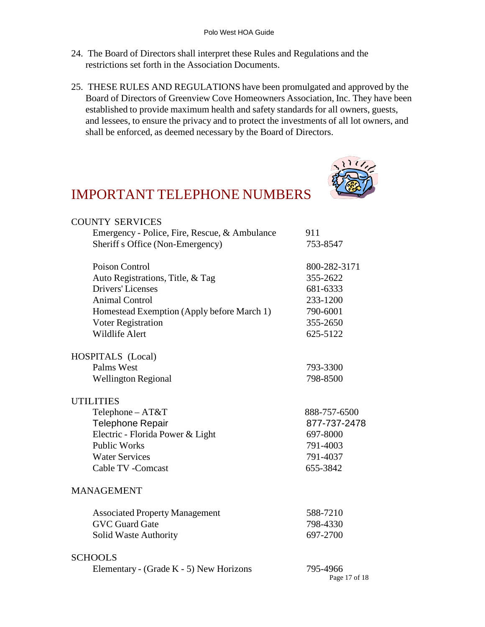- 24. The Board of Directors shall interpret these Rules and Regulations and the restrictions set forth in the Association Documents.
- 25. THESE RULES AND REGULATIONS have been promulgated and approved by the Board of Directors of Greenview Cove Homeowners Association, Inc. They have been established to provide maximum health and safety standards for all owners, guests, and lessees, to ensure the privacy and to protect the investments of all lot owners, and shall be enforced, as deemed necessary by the Board of Directors.



#### IMPORTANT TELEPHONE NUMBERS

| <b>COUNTY SERVICES</b>                        |                           |
|-----------------------------------------------|---------------------------|
| Emergency - Police, Fire, Rescue, & Ambulance | 911                       |
| Sheriff s Office (Non-Emergency)              | 753-8547                  |
| Poison Control                                | 800-282-3171              |
| Auto Registrations, Title, & Tag              | 355-2622                  |
| <b>Drivers' Licenses</b>                      | 681-6333                  |
| <b>Animal Control</b>                         | 233-1200                  |
| Homestead Exemption (Apply before March 1)    | 790-6001                  |
| Voter Registration                            | 355-2650                  |
| <b>Wildlife Alert</b>                         | 625-5122                  |
| HOSPITALS (Local)                             |                           |
| Palms West                                    | 793-3300                  |
| <b>Wellington Regional</b>                    | 798-8500                  |
| <b>UTILITIES</b>                              |                           |
| Telephone - AT&T                              | 888-757-6500              |
| Telephone Repair                              | 877-737-2478              |
| Electric - Florida Power & Light              | 697-8000                  |
| <b>Public Works</b>                           | 791-4003                  |
| <b>Water Services</b>                         | 791-4037                  |
| Cable TV - Comcast                            | 655-3842                  |
| <b>MANAGEMENT</b>                             |                           |
| <b>Associated Property Management</b>         | 588-7210                  |
| <b>GVC Guard Gate</b>                         | 798-4330                  |
| Solid Waste Authority                         | 697-2700                  |
| <b>SCHOOLS</b>                                |                           |
| Elementary - (Grade K - 5) New Horizons       | 795-4966<br>Page 17 of 18 |